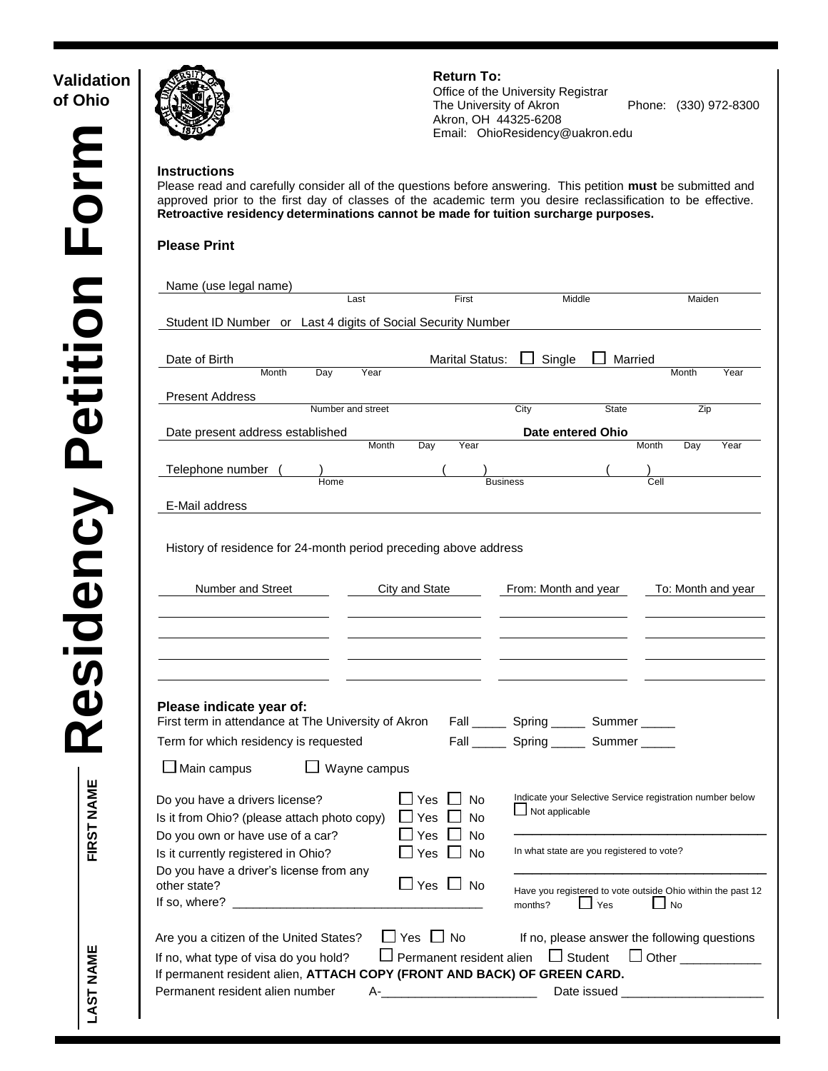| Validation | <b>Return To:</b>                                                                                                                                                                                                                                                                                                                                                  | Office of the University Registrar<br>The University of Akron<br>Phone: (330) 972-8300<br>Akron, OH 44325-6208<br>Email: OhioResidency@uakron.edu |
|------------|--------------------------------------------------------------------------------------------------------------------------------------------------------------------------------------------------------------------------------------------------------------------------------------------------------------------------------------------------------------------|---------------------------------------------------------------------------------------------------------------------------------------------------|
|            | <b>Instructions</b><br>Please read and carefully consider all of the questions before answering. This petition must be submitted and<br>approved prior to the first day of classes of the academic term you desire reclassification to be effective.<br>Retroactive residency determinations cannot be made for tuition surcharge purposes.<br><b>Please Print</b> |                                                                                                                                                   |
|            | Name (use legal name)<br>First<br>Last                                                                                                                                                                                                                                                                                                                             | Middle<br>Maiden                                                                                                                                  |
|            | Student ID Number or Last 4 digits of Social Security Number                                                                                                                                                                                                                                                                                                       |                                                                                                                                                   |
|            | <b>Marital Status:</b><br>Date of Birth                                                                                                                                                                                                                                                                                                                            | Single<br>Married                                                                                                                                 |
|            | Day<br>Year<br>Month<br><b>Present Address</b>                                                                                                                                                                                                                                                                                                                     | Month<br>Year                                                                                                                                     |
|            | Number and street                                                                                                                                                                                                                                                                                                                                                  | City<br>State<br>Zip                                                                                                                              |
|            | Date present address established                                                                                                                                                                                                                                                                                                                                   | Date entered Ohio                                                                                                                                 |
|            | Year<br>Month<br>Day                                                                                                                                                                                                                                                                                                                                               | Year<br>Month<br>Day                                                                                                                              |
|            | Telephone number<br>Home                                                                                                                                                                                                                                                                                                                                           | <b>Business</b><br>Cell                                                                                                                           |
|            | E-Mail address                                                                                                                                                                                                                                                                                                                                                     |                                                                                                                                                   |
|            | Number and Street<br>City and State                                                                                                                                                                                                                                                                                                                                | From: Month and year<br>To: Month and year                                                                                                        |
|            |                                                                                                                                                                                                                                                                                                                                                                    |                                                                                                                                                   |
|            | Please indicate year of:<br>First term in attendance at The University of Akron Fall ________ Spring _______ Summer ______                                                                                                                                                                                                                                         |                                                                                                                                                   |
|            | Term for which residency is requested                                                                                                                                                                                                                                                                                                                              | Fall _______ Spring _______ Summer ______                                                                                                         |
|            | $\Box$ Main campus<br>$\Box$ Wayne campus                                                                                                                                                                                                                                                                                                                          |                                                                                                                                                   |
|            | $\Box$ Yes $\Box$<br>Do you have a drivers license?<br>No<br>$\Box$ Yes $\Box$<br>Is it from Ohio? (please attach photo copy)<br>No<br>$\Box$ Yes $\Box$<br><b>No</b>                                                                                                                                                                                              | Indicate your Selective Service registration number below<br>$\Box$ Not applicable                                                                |
|            | Do you own or have use of a car?<br>$\Box$ Yes $\Box$ No<br>Is it currently registered in Ohio?<br>Do you have a driver's license from any                                                                                                                                                                                                                         | In what state are you registered to vote?                                                                                                         |
|            | $\Box$ Yes $\Box$ No<br>other state?                                                                                                                                                                                                                                                                                                                               | Have you registered to vote outside Ohio within the past 12<br>$\Box$ Yes<br>$\Box$ No<br>months?                                                 |
|            | $\Box$ Yes $\Box$ No<br>Are you a citizen of the United States?                                                                                                                                                                                                                                                                                                    | If no, please answer the following questions                                                                                                      |
|            | If no, what type of visa do you hold?                                                                                                                                                                                                                                                                                                                              | $\Box$ Permanent resident alien $\Box$ Student<br>Other ___________                                                                               |
|            | If permanent resident alien, ATTACH COPY (FRONT AND BACK) OF GREEN CARD.                                                                                                                                                                                                                                                                                           |                                                                                                                                                   |
|            |                                                                                                                                                                                                                                                                                                                                                                    |                                                                                                                                                   |
|            | Permanent resident alien number                                                                                                                                                                                                                                                                                                                                    |                                                                                                                                                   |